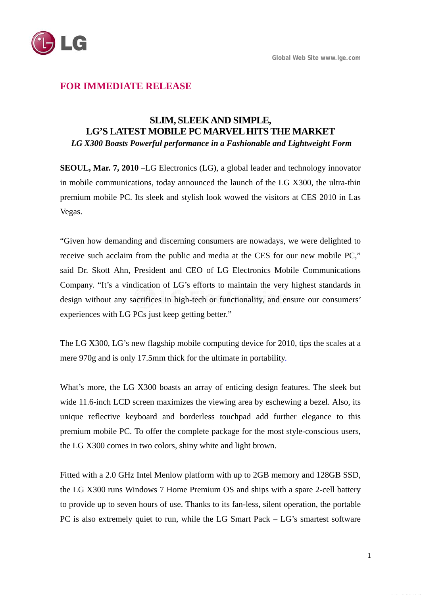

# **FOR IMMEDIATE RELEASE**

## **SLIM, SLEEK AND SIMPLE, LG'S LATEST MOBILE PC MARVEL HITS THE MARKET**   *LG X300 Boasts Powerful performance in a Fashionable and Lightweight Form*

**SEOUL, Mar. 7, 2010** –LG Electronics (LG), a global leader and technology innovator in mobile communications, today announced the launch of the LG X300, the ultra-thin premium mobile PC. Its sleek and stylish look wowed the visitors at CES 2010 in Las Vegas.

"Given how demanding and discerning consumers are nowadays, we were delighted to receive such acclaim from the public and media at the CES for our new mobile PC," said Dr. Skott Ahn, President and CEO of LG Electronics Mobile Communications Company. "It's a vindication of LG's efforts to maintain the very highest standards in design without any sacrifices in high-tech or functionality, and ensure our consumers' experiences with LG PCs just keep getting better."

The LG X300, LG's new flagship mobile computing device for 2010, tips the scales at a mere 970g and is only 17.5mm thick for the ultimate in portability.

What's more, the LG X300 boasts an array of enticing design features. The sleek but wide 11.6-inch LCD screen maximizes the viewing area by eschewing a bezel. Also, its unique reflective keyboard and borderless touchpad add further elegance to this premium mobile PC. To offer the complete package for the most style-conscious users, the LG X300 comes in two colors, shiny white and light brown.

Fitted with a 2.0 GHz Intel Menlow platform with up to 2GB memory and 128GB SSD, the LG X300 runs Windows 7 Home Premium OS and ships with a spare 2-cell battery to provide up to seven hours of use. Thanks to its fan-less, silent operation, the portable PC is also extremely quiet to run, while the LG Smart Pack – LG's smartest software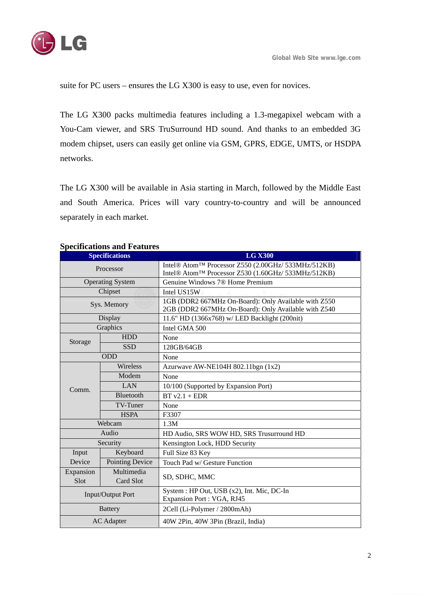

suite for PC users – ensures the LG X300 is easy to use, even for novices.

The LG X300 packs multimedia features including a 1.3-megapixel webcam with a You-Cam viewer, and SRS TruSurround HD sound. And thanks to an embedded 3G modem chipset, users can easily get online via GSM, GPRS, EDGE, UMTS, or HSDPA networks.

The LG X300 will be available in Asia starting in March, followed by the Middle East and South America. Prices will vary country-to-country and will be announced separately in each market.

| <b>Specifications</b>   |                         | <b>LG X300</b>                                                                                               |
|-------------------------|-------------------------|--------------------------------------------------------------------------------------------------------------|
| Processor               |                         | Intel® Atom™ Processor Z550 (2.00GHz/ 533MHz/512KB)                                                          |
|                         |                         | Intel® Atom™ Processor Z530 (1.60GHz/ 533MHz/512KB)                                                          |
| <b>Operating System</b> |                         | Genuine Windows 7® Home Premium                                                                              |
| Chipset                 |                         | Intel US15W                                                                                                  |
| Sys. Memory             |                         | 1GB (DDR2 667MHz On-Board): Only Available with Z550<br>2GB (DDR2 667MHz On-Board): Only Available with Z540 |
| Display                 |                         | 11.6" HD (1366x768) w/ LED Backlight (200nit)                                                                |
| Graphics                |                         | Intel GMA 500                                                                                                |
| Storage                 | <b>HDD</b>              | None                                                                                                         |
|                         | <b>SSD</b>              | 128GB/64GB                                                                                                   |
| <b>ODD</b>              |                         | None                                                                                                         |
| Comm.                   | Wireless                | Azurwave AW-NE104H 802.11bgn (1x2)                                                                           |
|                         | Modem                   | None                                                                                                         |
|                         | LAN                     | 10/100 (Supported by Expansion Port)                                                                         |
|                         | Bluetooth               | $BT v2.1 + EDR$                                                                                              |
|                         | <b>TV-Tuner</b>         | None                                                                                                         |
|                         | <b>HSPA</b>             | F3307                                                                                                        |
| Webcam                  |                         | 1.3M                                                                                                         |
| Audio                   |                         | HD Audio, SRS WOW HD, SRS Trusurround HD                                                                     |
| Security                |                         | Kensington Lock, HDD Security                                                                                |
| Input<br>Device         | Keyboard                | Full Size 83 Key                                                                                             |
|                         | <b>Pointing Device</b>  | Touch Pad w/ Gesture Function                                                                                |
| Expansion<br>Slot       | Multimedia<br>Card Slot | SD, SDHC, MMC                                                                                                |
| Input/Output Port       |                         | System : HP Out, USB (x2), Int. Mic, DC-In<br>Expansion Port: VGA, RJ45                                      |
| <b>Battery</b>          |                         | 2Cell (Li-Polymer / 2800mAh)                                                                                 |
| <b>AC</b> Adapter       |                         | 40W 2Pin, 40W 3Pin (Brazil, India)                                                                           |

### **Specifications and Features**